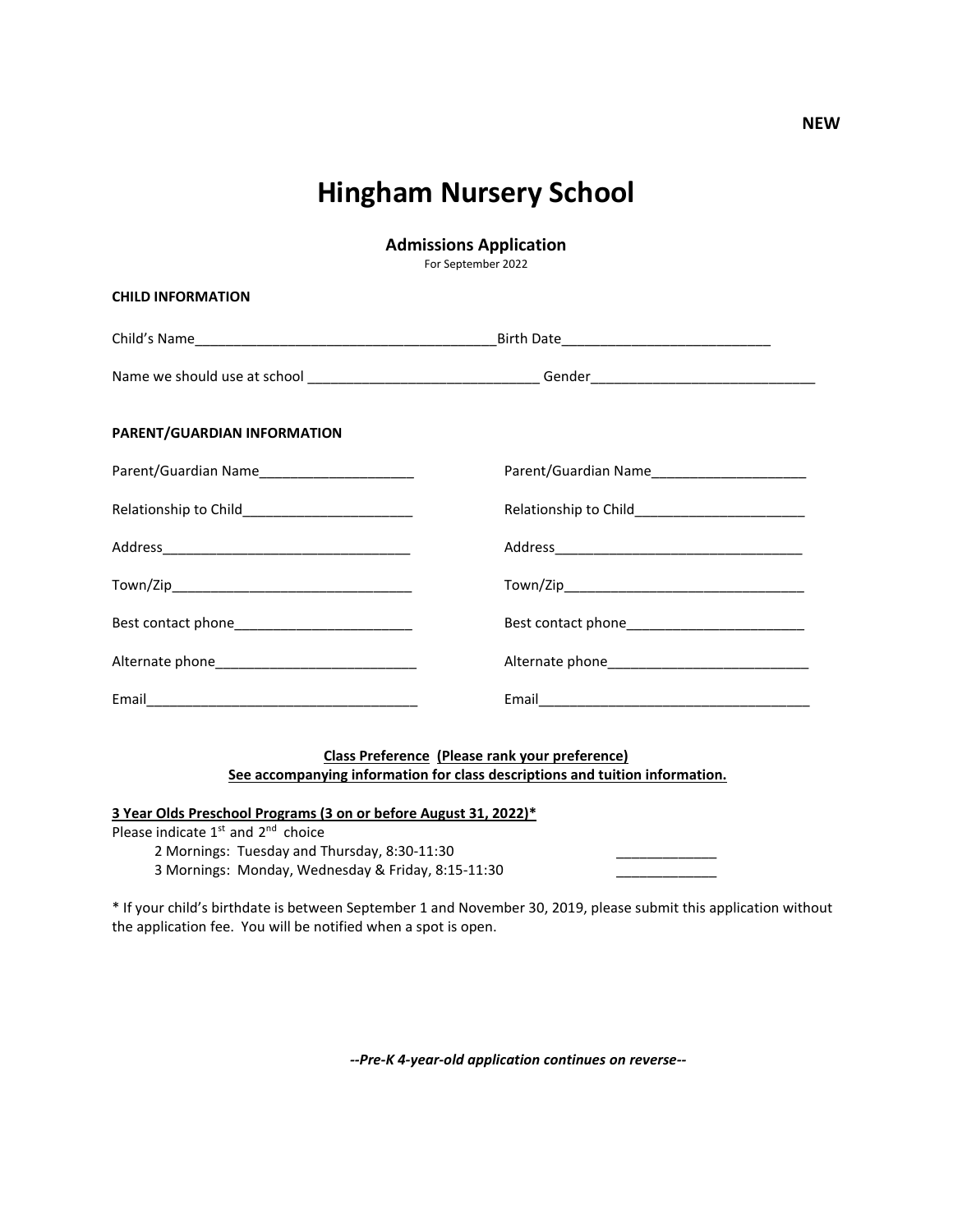## **Hingham Nursery School**

**Admissions Application**

For September 2022

| <b>CHILD INFORMATION</b>                     |                                                |  |
|----------------------------------------------|------------------------------------------------|--|
|                                              |                                                |  |
|                                              |                                                |  |
| PARENT/GUARDIAN INFORMATION                  |                                                |  |
| Parent/Guardian Name________________________ | Parent/Guardian Name__________________________ |  |
|                                              |                                                |  |
|                                              |                                                |  |
|                                              |                                                |  |
|                                              |                                                |  |
|                                              |                                                |  |
|                                              |                                                |  |

## **Class Preference (Please rank your preference) See accompanying information for class descriptions and tuition information.**

**3 Year Olds Preschool Programs (3 on or before August 31, 2022)\***

Please indicate  $1^{st}$  and  $2^{nd}$  choice

2 Mornings: Tuesday and Thursday, 8:30-11:30

3 Mornings: Monday, Wednesday & Friday, 8:15-11:30

\* If your child's birthdate is between September 1 and November 30, 2019, please submit this application without the application fee. You will be notified when a spot is open.

*--Pre-K 4-year-old application continues on reverse--*